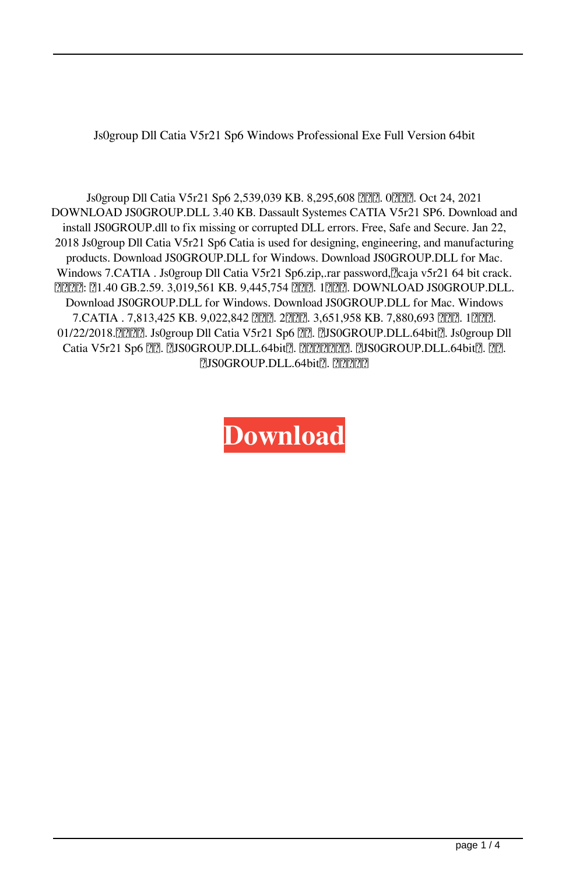Js0group Dll Catia V5r21 Sp6 Windows Professional Exe Full Version 64bit

Js0group Dll Catia V5r21 Sp6 2,539,039 KB. 8,295,608 22. 02. 02. Oct 24, 2021 DOWNLOAD JS0GROUP.DLL 3.40 KB. Dassault Systemes CATIA V5r21 SP6. Download and install JS0GROUP.dll to fix missing or corrupted DLL errors. Free, Safe and Secure. Jan 22, 2018 Js0group Dll Catia V5r21 Sp6 Catia is used for designing, engineering, and manufacturing products. Download JS0GROUP.DLL for Windows. Download JS0GROUP.DLL for Mac. Windows 7.CATIA . Js0group Dll Catia V5r21 Sp6.zip,.rar password, [2]caja v5r21 64 bit crack. **2020: 21.40 GB.2.59. 3,019,561 KB. 9,445,754 222. 1222. DOWNLOAD JS0GROUP.DLL.** Download JS0GROUP.DLL for Windows. Download JS0GROUP.DLL for Mac. Windows 7.CATIA . 7,813,425 KB. 9,022,842 个页面. 2个记录. 3,651,958 KB. 7,880,693 个页面. 1个记录. 01/22/2018. [22] . Js0group Dll Catia V5r21 Sp6 [22]. [2JS0GROUP.DLL.64bit<sup>[2]</sup>. Js0group Dll Catia V5r21 Sp6  $\boxed{?}$ .  $\boxed{?}$ JS0GROUP.DLL.64bit $\boxed{?}$ .  $\boxed{?}$   $\boxed{?}$ .  $\boxed{?}$ .  $\boxed{?}$ .  $\boxed{?}$ .  $\boxed{?}$ . **7JS0GROUP.DLL.64bit7.** 22272

**[Download](http://evacdir.com/ZG93bmxvYWR8aWg2Tm05cGZId3hOalV5TnpRd09EWTJmSHd5TlRjMGZId29UU2tnY21WaFpDMWliRzluSUZ0R1lYTjBJRWRGVGww/behcet.SnMwZ3JvdXAgRGxsIENhdGlhIFY1cjIxIFNwNgSnM?endeavors=emigrate&glynn=hecklers&interpreters=&silverio=)**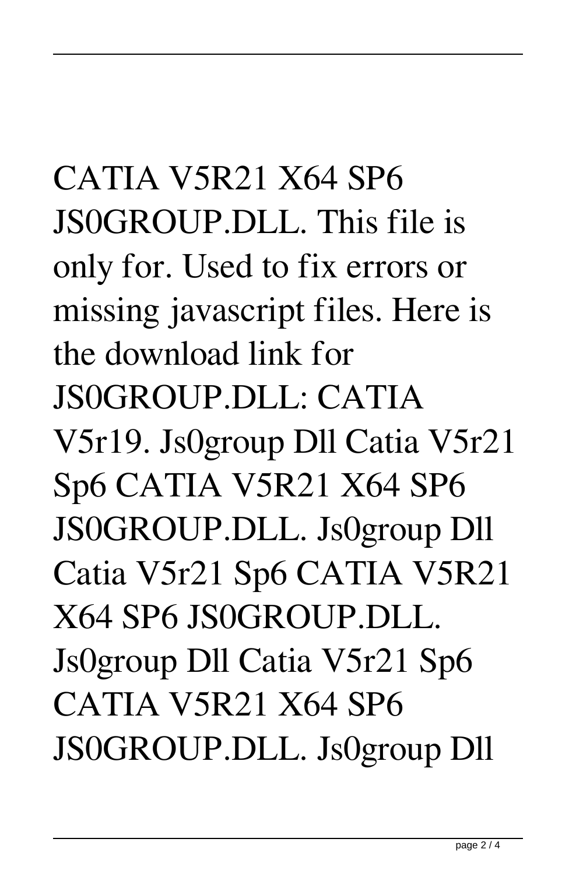CATIA V5R21 X64 SP6 JS0GROUP.DLL. This file is only for. Used to fix errors or missing javascript files. Here is the download link for JS0GROUP.DLL: CATIA V5r19. Js0group Dll Catia V5r21 Sp6 CATIA V5R21 X64 SP6 JS0GROUP.DLL. Js0group Dll Catia V5r21 Sp6 CATIA V5R21 X64 SP6 JS0GROUP.DLL. Js0group Dll Catia V5r21 Sp6 CATIA V5R21 X64 SP6 JS0GROUP.DLL. Js0group Dll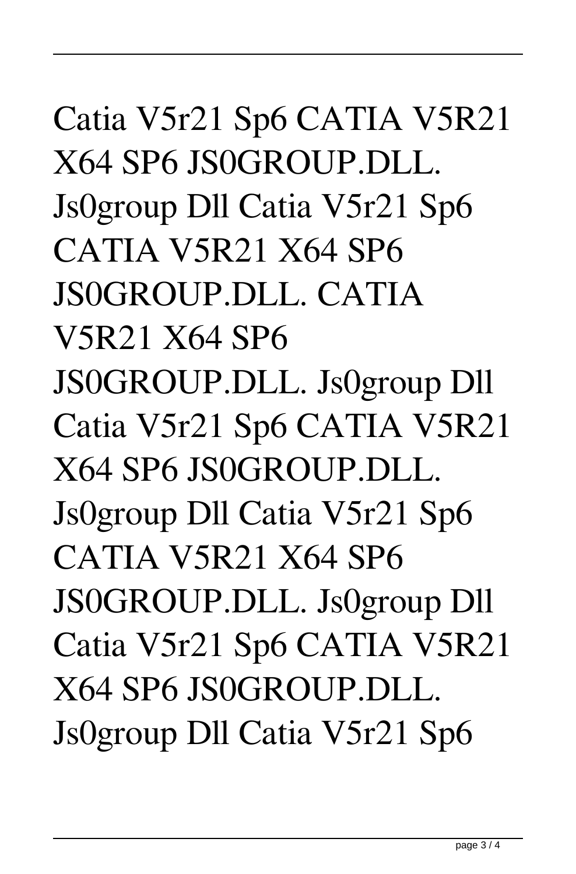## Catia V5r21 Sp6 CATIA V5R21 X64 SP6 JS0GROUP.DLL. Js0group Dll Catia V5r21 Sp6 CATIA V5R21 X64 SP6 JS0GROUP.DLL. CATIA V5R21 X64 SP6 JS0GROUP.DLL. Js0group Dll Catia V5r21 Sp6 CATIA V5R21 X64 SP6 JS0GROUP.DLL. Js0group Dll Catia V5r21 Sp6 CATIA V5R21 X64 SP6 JS0GROUP.DLL. Js0group Dll Catia V5r21 Sp6 CATIA V5R21 X64 SP6 JS0GROUP.DLL. Js0group Dll Catia V5r21 Sp6